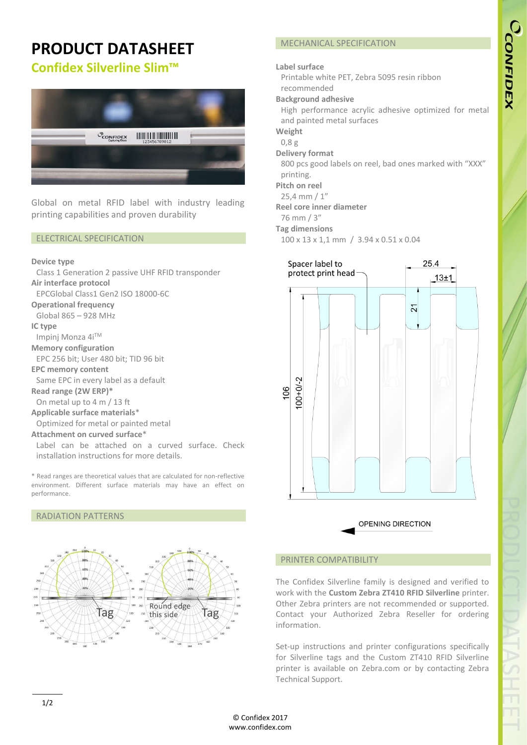# **PRODUCT DATASHEET**

# **Confidex Silverline Slim™**



Global on metal RFID label with industry leading printing capabilities and proven durability

#### ELECTRICAL SPECIFICATION

#### **Device type**

Class 1 Generation 2 passive UHF RFID transponder **Air interface protocol** EPCGlobal Class1 Gen2 ISO 18000-6C **Operational frequency** Global 865 – 928 MHz **IC type** Impinj Monza 4iTM **Memory configuration** EPC 256 bit; User 480 bit; TID 96 bit **EPC memory content** Same EPC in every label as a default **Read range (2W ERP)\*** On metal up to 4 m / 13 ft **Applicable surface materials**\* Optimized for metal or painted metal **Attachment on curved surface**\* Label can be attached on a curved surface. Check installation instructions for more details.

\* Read ranges are theoretical values that are calculated for non-reflective environment. Different surface materials may have an effect on performance.

#### RADIATION PATTERNS



# MECHANICAL SPECIFICATION

#### **Label surface**

Printable white PET, Zebra 5095 resin ribbon recommended

#### **Background adhesive**

High performance acrylic adhesive optimized for metal and painted metal surfaces

**Weight**

- 0,8 g
- **Delivery format**

800 pcs good labels on reel, bad ones marked with "XXX" printing.

**Pitch on reel**

25,4 mm / 1"

**Reel core inner diameter**

76 mm / 3"

**Tag dimensions**

100 x 13 x 1,1 mm / 3.94 x 0.51 x 0.04





# PRINTER COMPATIBILITY

The Confidex Silverline family is designed and verified to work with the **Custom Zebra ZT410 RFID Silverline** printer. Other Zebra printers are not recommended or supported. Contact your Authorized Zebra Reseller for ordering information.

Set-up instructions and printer configurations specifically for Silverline tags and the Custom ZT410 RFID Silverline printer is available on Zebra.com or by contacting Zebra Technical Support.